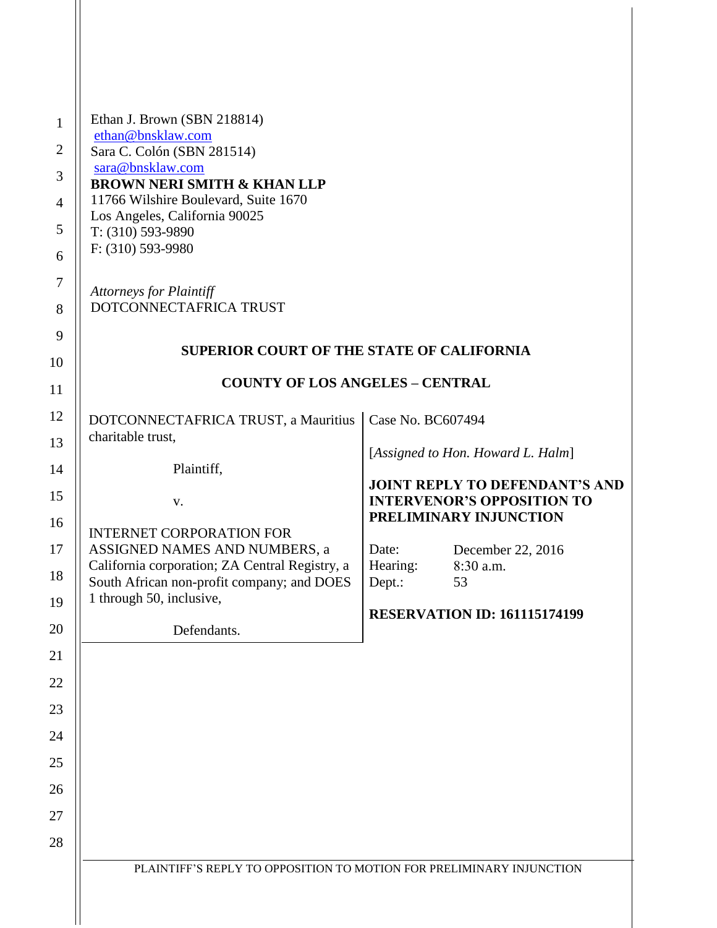| <b>SUPERIOR COURT OF THE STATE OF CALIFORNIA</b>                                                                                                                                                                                                                             |
|------------------------------------------------------------------------------------------------------------------------------------------------------------------------------------------------------------------------------------------------------------------------------|
| <b>COUNTY OF LOS ANGELES - CENTRAL</b>                                                                                                                                                                                                                                       |
| Case No. BC607494<br>[Assigned to Hon. Howard L. Halm]<br><b>JOINT REPLY TO DEFENDANT'S AND</b><br><b>INTERVENOR'S OPPOSITION TO</b><br>PRELIMINARY INJUNCTION<br>Date:<br>December 22, 2016<br>Hearing:<br>8:30 a.m.<br>Dept.:<br>53<br><b>RESERVATION ID: 161115174199</b> |
| PLAINTIFF'S REPLY TO OPPOSITION TO MOTION FOR PRELIMINARY INJUNCTION                                                                                                                                                                                                         |

 $\parallel$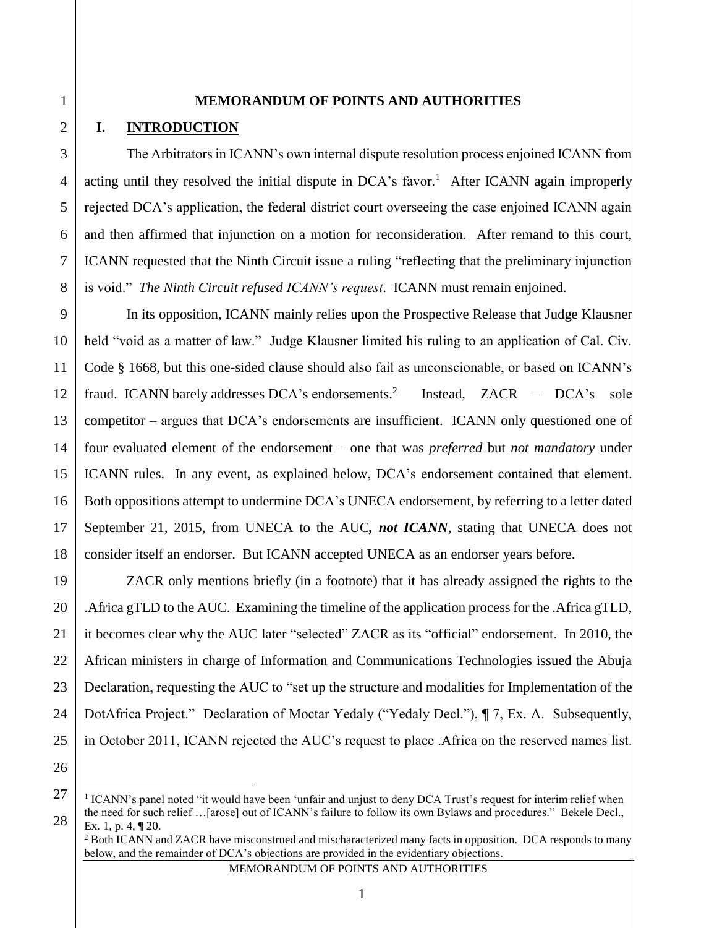#### **MEMORANDUM OF POINTS AND AUTHORITIES**

# **I. INTRODUCTION**

The Arbitrators in ICANN's own internal dispute resolution process enjoined ICANN from acting until they resolved the initial dispute in  $DCA$ 's favor.<sup>1</sup> After ICANN again improperly rejected DCA's application, the federal district court overseeing the case enjoined ICANN again and then affirmed that injunction on a motion for reconsideration. After remand to this court, ICANN requested that the Ninth Circuit issue a ruling "reflecting that the preliminary injunction is void." *The Ninth Circuit refused ICANN's request*. ICANN must remain enjoined.

In its opposition, ICANN mainly relies upon the Prospective Release that Judge Klausner held "void as a matter of law." Judge Klausner limited his ruling to an application of Cal. Civ. Code § 1668, but this one-sided clause should also fail as unconscionable, or based on ICANN's fraud. ICANN barely addresses DCA's endorsements.<sup>2</sup> Instead, ZACR – DCA's sole competitor – argues that DCA's endorsements are insufficient. ICANN only questioned one of four evaluated element of the endorsement – one that was *preferred* but *not mandatory* under ICANN rules. In any event, as explained below, DCA's endorsement contained that element. Both oppositions attempt to undermine DCA's UNECA endorsement, by referring to a letter dated September 21, 2015, from UNECA to the AUC*, not ICANN*, stating that UNECA does not consider itself an endorser. But ICANN accepted UNECA as an endorser years before.

ZACR only mentions briefly (in a footnote) that it has already assigned the rights to the .Africa gTLD to the AUC. Examining the timeline of the application process for the .Africa gTLD, it becomes clear why the AUC later "selected" ZACR as its "official" endorsement. In 2010, the African ministers in charge of Information and Communications Technologies issued the Abuja Declaration, requesting the AUC to "set up the structure and modalities for Implementation of the DotAfrica Project." Declaration of Moctar Yedaly ("Yedaly Decl."), ¶ 7, Ex. A. Subsequently, in October 2011, ICANN rejected the AUC's request to place .Africa on the reserved names list.

 $\overline{a}$ 

<sup>&</sup>lt;sup>1</sup> ICANN's panel noted "it would have been 'unfair and unjust to deny DCA Trust's request for interim relief when the need for such relief …[arose] out of ICANN's failure to follow its own Bylaws and procedures." Bekele Decl., Ex. 1, p. 4, ¶ 20.

<sup>&</sup>lt;sup>2</sup> Both ICANN and ZACR have misconstrued and mischaracterized many facts in opposition. DCA responds to many below, and the remainder of DCA's objections are provided in the evidentiary objections.

MEMORANDUM OF POINTS AND AUTHORITIES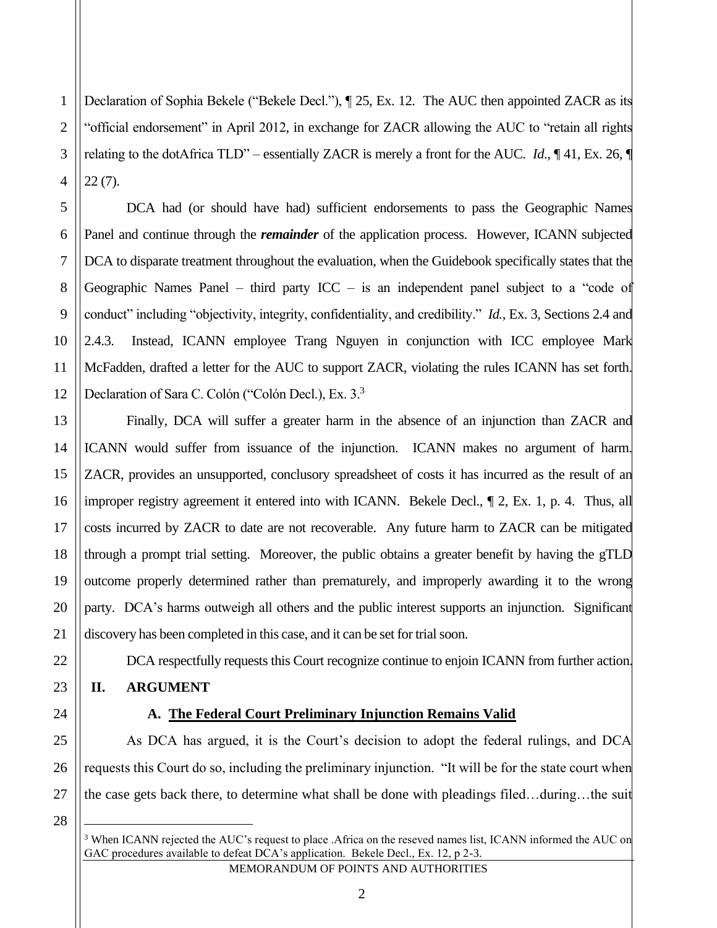1 2 3 4 Declaration of Sophia Bekele ("Bekele Decl."), ¶ 25, Ex. 12. The AUC then appointed ZACR as its "official endorsement" in April 2012, in exchange for ZACR allowing the AUC to "retain all rights relating to the dotAfrica TLD" – essentially ZACR is merely a front for the AUC. *Id*., ¶ 41, Ex. 26, ¶ 22 (7).

DCA had (or should have had) sufficient endorsements to pass the Geographic Names Panel and continue through the *remainder* of the application process. However, ICANN subjected DCA to disparate treatment throughout the evaluation, when the Guidebook specifically states that the Geographic Names Panel – third party  $ICC -$  is an independent panel subject to a "code of conduct" including "objectivity, integrity, confidentiality, and credibility." *Id.*, Ex. 3, Sections 2.4 and 2.4.3. Instead, ICANN employee Trang Nguyen in conjunction with ICC employee Mark McFadden, drafted a letter for the AUC to support ZACR, violating the rules ICANN has set forth. Declaration of Sara C. Colón ("Colón Decl.), Ex. 3.<sup>3</sup>

Finally, DCA will suffer a greater harm in the absence of an injunction than ZACR and ICANN would suffer from issuance of the injunction. ICANN makes no argument of harm. ZACR, provides an unsupported, conclusory spreadsheet of costs it has incurred as the result of an improper registry agreement it entered into with ICANN. Bekele Decl., ¶ 2, Ex. 1, p. 4. Thus, all costs incurred by ZACR to date are not recoverable. Any future harm to ZACR can be mitigated through a prompt trial setting. Moreover, the public obtains a greater benefit by having the gTLD outcome properly determined rather than prematurely, and improperly awarding it to the wrong party. DCA's harms outweigh all others and the public interest supports an injunction. Significant discovery has been completed in this case, and it can be set for trial soon.

DCA respectfully requests this Court recognize continue to enjoin ICANN from further action.

# **II. ARGUMENT**

# **A. The Federal Court Preliminary Injunction Remains Valid**

As DCA has argued, it is the Court's decision to adopt the federal rulings, and DCA requests this Court do so, including the preliminary injunction. "It will be for the state court when the case gets back there, to determine what shall be done with pleadings filed…during…the suit

28

5

6

7

8

9

10

11

12

13

14

15

16

17

18

19

20

21

22

23

24

25

26

27

<sup>&</sup>lt;sup>3</sup> When ICANN rejected the AUC's request to place .Africa on the reseved names list, ICANN informed the AUC on GAC procedures available to defeat DCA's application. Bekele Decl., Ex. 12, p 2-3.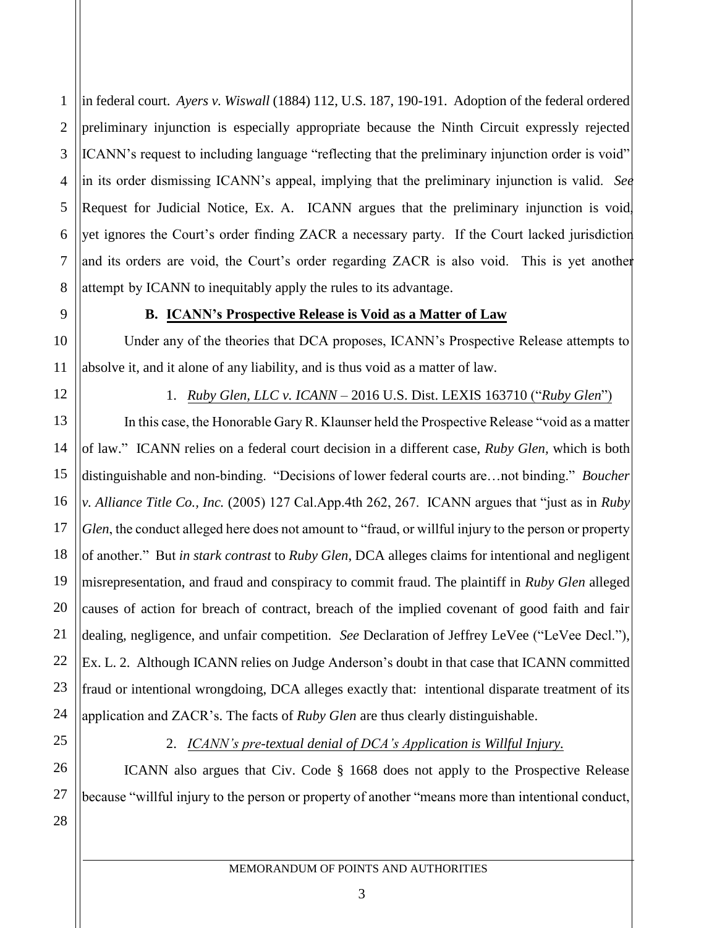1 2 3 4 5 6 7 8 in federal court. *Ayers v. Wiswall* (1884) 112, U.S. 187, 190-191. Adoption of the federal ordered preliminary injunction is especially appropriate because the Ninth Circuit expressly rejected ICANN's request to including language "reflecting that the preliminary injunction order is void" in its order dismissing ICANN's appeal, implying that the preliminary injunction is valid. *See*  Request for Judicial Notice, Ex. A. ICANN argues that the preliminary injunction is void, yet ignores the Court's order finding ZACR a necessary party. If the Court lacked jurisdiction and its orders are void, the Court's order regarding ZACR is also void. This is yet another attempt by ICANN to inequitably apply the rules to its advantage.

#### **B. ICANN's Prospective Release is Void as a Matter of Law**

Under any of the theories that DCA proposes, ICANN's Prospective Release attempts to absolve it, and it alone of any liability, and is thus void as a matter of law.

9

10

11

12

## 1. *Ruby Glen, LLC v. ICANN* – 2016 U.S. Dist. LEXIS 163710 ("*Ruby Glen*")

13 14 15 16 17 18 19 20 21 22 23 24 In this case, the Honorable Gary R. Klaunser held the Prospective Release "void as a matter of law." ICANN relies on a federal court decision in a different case, *Ruby Glen,* which is both distinguishable and non-binding. "Decisions of lower federal courts are…not binding." *Boucher v. Alliance Title Co., Inc.* (2005) 127 Cal.App.4th 262, 267. ICANN argues that "just as in *Ruby Glen*, the conduct alleged here does not amount to "fraud, or willful injury to the person or property of another." But *in stark contrast* to *Ruby Glen*, DCA alleges claims for intentional and negligent misrepresentation, and fraud and conspiracy to commit fraud. The plaintiff in *Ruby Glen* alleged causes of action for breach of contract, breach of the implied covenant of good faith and fair dealing, negligence, and unfair competition. *See* Declaration of Jeffrey LeVee ("LeVee Decl."), Ex. L. 2. Although ICANN relies on Judge Anderson's doubt in that case that ICANN committed fraud or intentional wrongdoing, DCA alleges exactly that: intentional disparate treatment of its application and ZACR's. The facts of *Ruby Glen* are thus clearly distinguishable.

25 26

27

28

# 2. *ICANN's pre-textual denial of DCA's Application is Willful Injury.*

ICANN also argues that Civ. Code § 1668 does not apply to the Prospective Release because "willful injury to the person or property of another "means more than intentional conduct,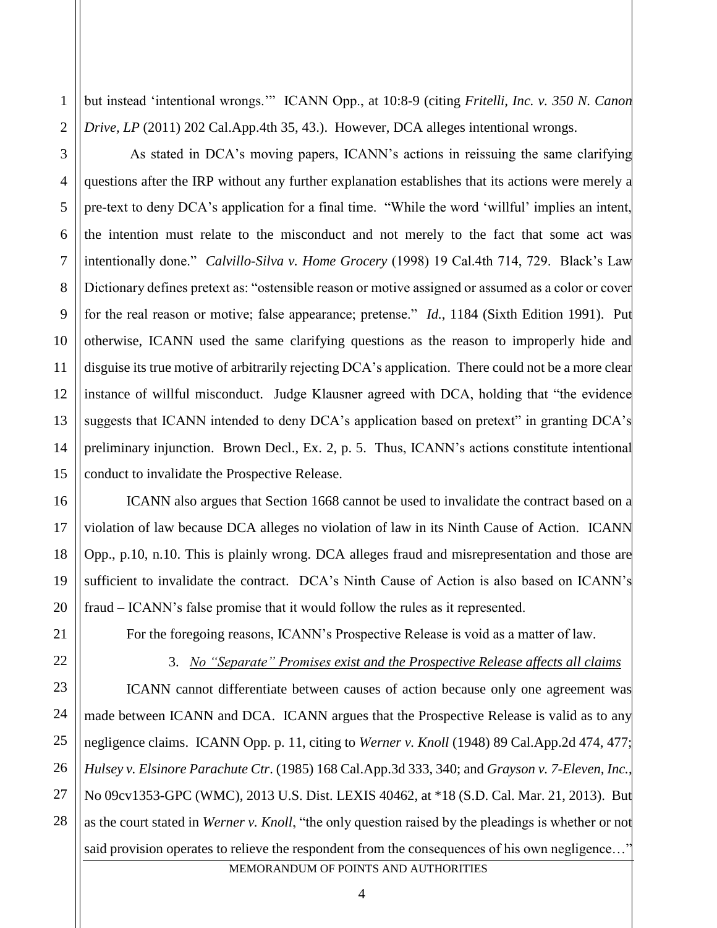1 but instead 'intentional wrongs.'" ICANN Opp., at 10:8-9 (citing *Fritelli, Inc. v. 350 N. Canon Drive, LP* (2011) 202 Cal.App.4th 35, 43.). However, DCA alleges intentional wrongs.

As stated in DCA's moving papers, ICANN's actions in reissuing the same clarifying questions after the IRP without any further explanation establishes that its actions were merely a pre-text to deny DCA's application for a final time. "While the word 'willful' implies an intent, the intention must relate to the misconduct and not merely to the fact that some act was intentionally done." *Calvillo-Silva v. Home Grocery* (1998) 19 Cal.4th 714, 729. Black's Law Dictionary defines pretext as: "ostensible reason or motive assigned or assumed as a color or cover for the real reason or motive; false appearance; pretense." *Id.*, 1184 (Sixth Edition 1991). Put otherwise, ICANN used the same clarifying questions as the reason to improperly hide and disguise its true motive of arbitrarily rejecting DCA's application. There could not be a more clear instance of willful misconduct. Judge Klausner agreed with DCA, holding that "the evidence suggests that ICANN intended to deny DCA's application based on pretext" in granting DCA's preliminary injunction. Brown Decl., Ex. 2, p. 5. Thus, ICANN's actions constitute intentional conduct to invalidate the Prospective Release.

ICANN also argues that Section 1668 cannot be used to invalidate the contract based on a violation of law because DCA alleges no violation of law in its Ninth Cause of Action. ICANN Opp., p.10, n.10. This is plainly wrong. DCA alleges fraud and misrepresentation and those are sufficient to invalidate the contract. DCA's Ninth Cause of Action is also based on ICANN's fraud – ICANN's false promise that it would follow the rules as it represented.

For the foregoing reasons, ICANN's Prospective Release is void as a matter of law.

MEMORANDUM OF POINTS AND AUTHORITIES 3. *No "Separate" Promises exist and the Prospective Release affects all claims* ICANN cannot differentiate between causes of action because only one agreement was made between ICANN and DCA. ICANN argues that the Prospective Release is valid as to any negligence claims. ICANN Opp. p. 11, citing to *Werner v. Knoll* (1948) 89 Cal.App.2d 474, 477; *Hulsey v. Elsinore Parachute Ctr*. (1985) 168 Cal.App.3d 333, 340; and *Grayson v. 7-Eleven, Inc.*, No 09cv1353-GPC (WMC), 2013 U.S. Dist. LEXIS 40462, at \*18 (S.D. Cal. Mar. 21, 2013). But as the court stated in *Werner v. Knoll*, "the only question raised by the pleadings is whether or not said provision operates to relieve the respondent from the consequences of his own negligence..."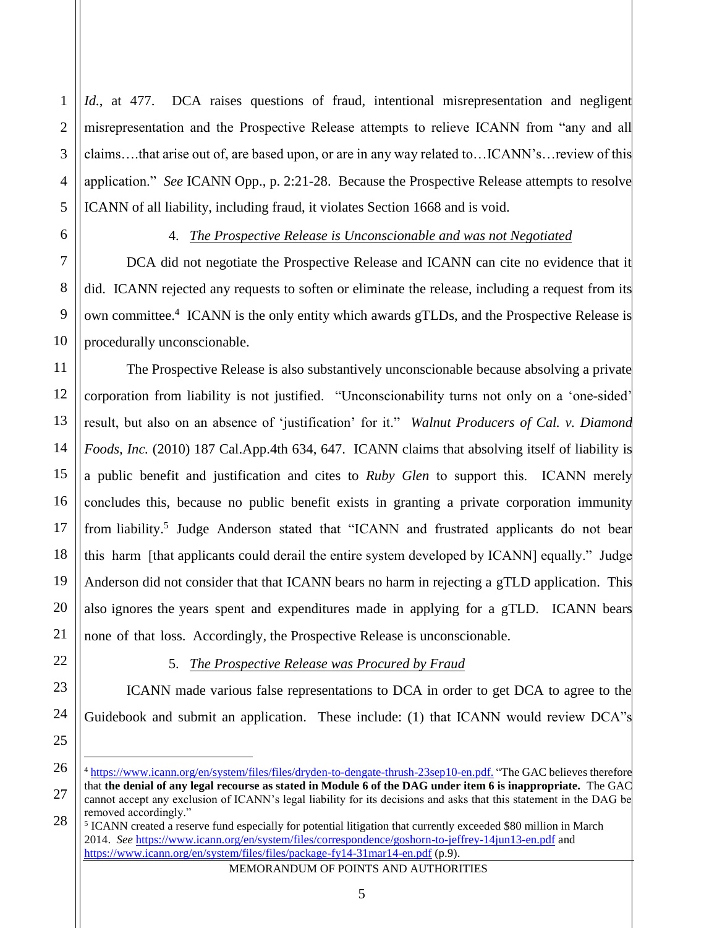Id., at 477. DCA raises questions of fraud, intentional misrepresentation and negligent misrepresentation and the Prospective Release attempts to relieve ICANN from "any and all claims….that arise out of, are based upon, or are in any way related to…ICANN's…review of this application." *See* ICANN Opp., p. 2:21-28. Because the Prospective Release attempts to resolve ICANN of all liability, including fraud, it violates Section 1668 and is void.

1

2

3

4

5

6

# 4. *The Prospective Release is Unconscionable and was not Negotiated*

DCA did not negotiate the Prospective Release and ICANN can cite no evidence that it did. ICANN rejected any requests to soften or eliminate the release, including a request from its own committee.<sup>4</sup> ICANN is the only entity which awards gTLDs, and the Prospective Release is procedurally unconscionable.

The Prospective Release is also substantively unconscionable because absolving a private corporation from liability is not justified. "Unconscionability turns not only on a 'one-sided' result, but also on an absence of 'justification' for it." *Walnut Producers of Cal. v. Diamond Foods, Inc.* (2010) 187 Cal.App.4th 634, 647. ICANN claims that absolving itself of liability is a public benefit and justification and cites to *Ruby Glen* to support this. ICANN merely concludes this, because no public benefit exists in granting a private corporation immunity from liability.<sup>5</sup> Judge Anderson stated that "ICANN and frustrated applicants do not bear this harm [that applicants could derail the entire system developed by ICANN] equally." Judge Anderson did not consider that that ICANN bears no harm in rejecting a gTLD application. This also ignores the years spent and expenditures made in applying for a gTLD. ICANN bears none of that loss. Accordingly, the Prospective Release is unconscionable.

# 5. *The Prospective Release was Procured by Fraud*

ICANN made various false representations to DCA in order to get DCA to agree to the Guidebook and submit an application. These include: (1) that ICANN would review DCA"s

<sup>4</sup> [https://www.icann.org/en/system/files/files/dryden-to-dengate-thrush-23sep10-en.pdf.](https://www.icann.org/en/system/files/files/dryden-to-dengate-thrush-23sep10-en.pdf) "The GAC believes therefore that **the denial of any legal recourse as stated in Module 6 of the DAG under item 6 is inappropriate.** The GAC cannot accept any exclusion of ICANN's legal liability for its decisions and asks that this statement in the DAG be removed accordingly."

<sup>&</sup>lt;sup>5</sup> ICANN created a reserve fund especially for potential litigation that currently exceeded \$80 million in March 2014. *See* <https://www.icann.org/en/system/files/correspondence/goshorn-to-jeffrey-14jun13-en.pdf> and <https://www.icann.org/en/system/files/files/package-fy14-31mar14-en.pdf> (p.9).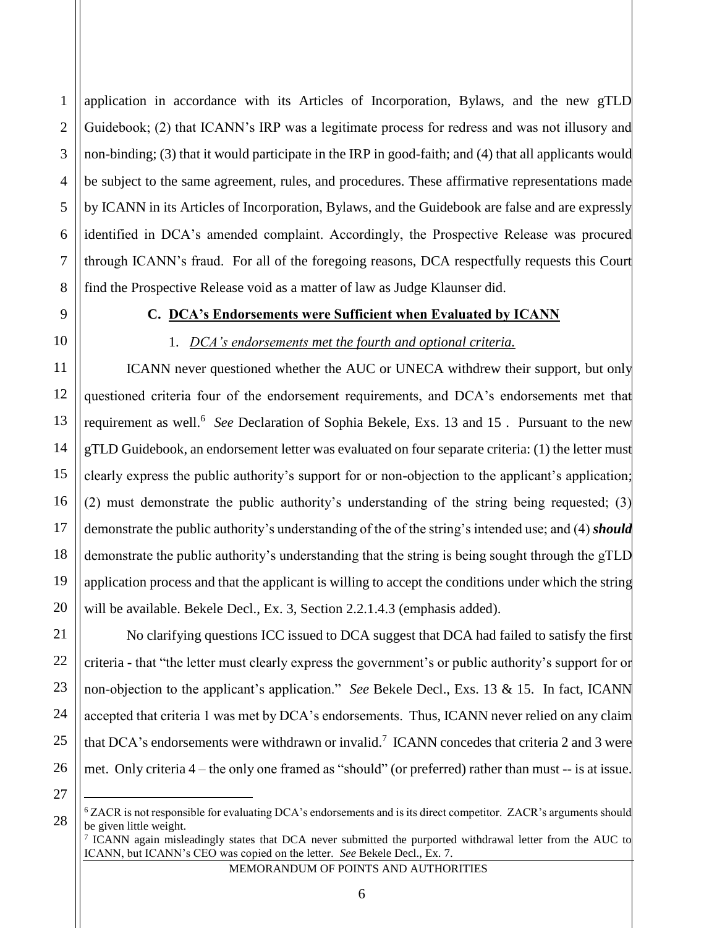application in accordance with its Articles of Incorporation, Bylaws, and the new gTLD Guidebook; (2) that ICANN's IRP was a legitimate process for redress and was not illusory and non-binding; (3) that it would participate in the IRP in good-faith; and (4) that all applicants would be subject to the same agreement, rules, and procedures. These affirmative representations made by ICANN in its Articles of Incorporation, Bylaws, and the Guidebook are false and are expressly identified in DCA's amended complaint. Accordingly, the Prospective Release was procured through ICANN's fraud. For all of the foregoing reasons, DCA respectfully requests this Court find the Prospective Release void as a matter of law as Judge Klaunser did.

#### **C. DCA's Endorsements were Sufficient when Evaluated by ICANN**

1

2

3

4

5

6

7

8

9

10

11

12

13

14

15

16

17

18

19

20

21

22

23

24

25

## 1. *DCA's endorsements met the fourth and optional criteria.*

ICANN never questioned whether the AUC or UNECA withdrew their support, but only questioned criteria four of the endorsement requirements, and DCA's endorsements met that requirement as well.<sup>6</sup> See Declaration of Sophia Bekele, Exs. 13 and 15. Pursuant to the new gTLD Guidebook, an endorsement letter was evaluated on four separate criteria: (1) the letter must clearly express the public authority's support for or non-objection to the applicant's application; (2) must demonstrate the public authority's understanding of the string being requested; (3) demonstrate the public authority's understanding of the of the string's intended use; and (4) *should* demonstrate the public authority's understanding that the string is being sought through the gTLD application process and that the applicant is willing to accept the conditions under which the string will be available. Bekele Decl., Ex. 3, Section 2.2.1.4.3 (emphasis added).

No clarifying questions ICC issued to DCA suggest that DCA had failed to satisfy the first criteria - that "the letter must clearly express the government's or public authority's support for or non-objection to the applicant's application." *See* Bekele Decl., Exs. 13 & 15. In fact, ICANN accepted that criteria 1 was met by DCA's endorsements. Thus, ICANN never relied on any claim that DCA's endorsements were withdrawn or invalid.<sup>7</sup> ICANN concedes that criteria 2 and 3 were met. Only criteria 4 – the only one framed as "should" (or preferred) rather than must -- is at issue.

26 27

 $\overline{a}$ 

28

<sup>&</sup>lt;sup>6</sup> ZACR is not responsible for evaluating DCA's endorsements and is its direct competitor. ZACR's arguments should be given little weight.

<sup>&</sup>lt;sup>7</sup> ICANN again misleadingly states that DCA never submitted the purported withdrawal letter from the AUC to ICANN, but ICANN's CEO was copied on the letter. *See* Bekele Decl., Ex. 7.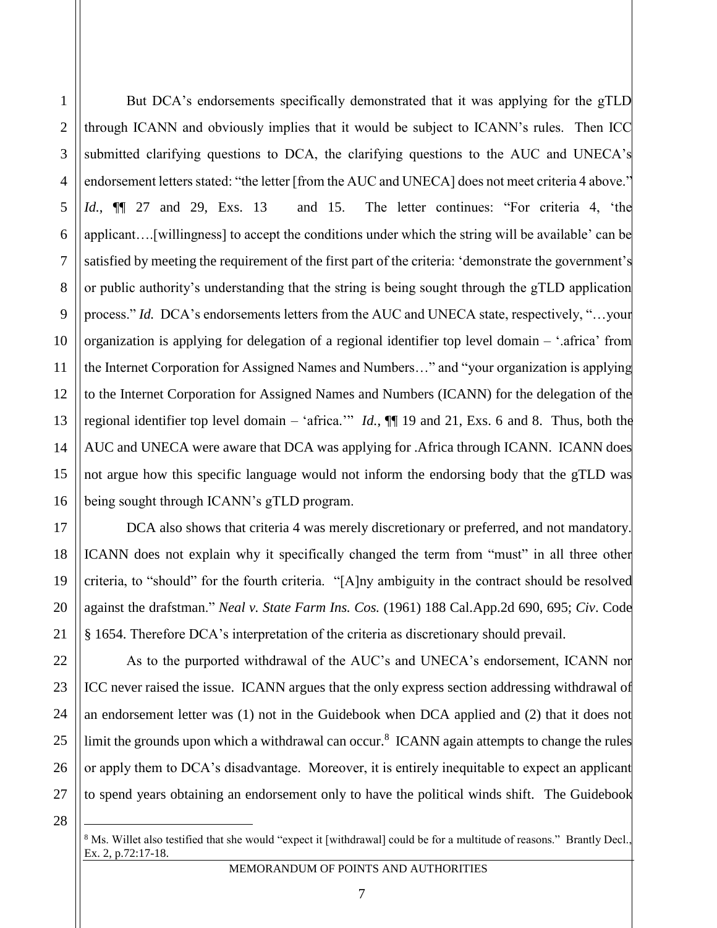1

2

But DCA's endorsements specifically demonstrated that it was applying for the gTLD through ICANN and obviously implies that it would be subject to ICANN's rules. Then ICC submitted clarifying questions to DCA, the clarifying questions to the AUC and UNECA's endorsement letters stated: "the letter [from the AUC and UNECA] does not meet criteria 4 above." *Id.*, ¶¶ 27 and 29, Exs. 13 and 15. The letter continues: "For criteria 4, 'the applicant….[willingness] to accept the conditions under which the string will be available' can be satisfied by meeting the requirement of the first part of the criteria: 'demonstrate the government's or public authority's understanding that the string is being sought through the gTLD application process." *Id.* DCA's endorsements letters from the AUC and UNECA state, respectively, "…your organization is applying for delegation of a regional identifier top level domain – '.africa' from the Internet Corporation for Assigned Names and Numbers…" and "your organization is applying to the Internet Corporation for Assigned Names and Numbers (ICANN) for the delegation of the regional identifier top level domain – 'africa.'" *Id.*, ¶¶ 19 and 21, Exs. 6 and 8. Thus, both the AUC and UNECA were aware that DCA was applying for .Africa through ICANN. ICANN does not argue how this specific language would not inform the endorsing body that the gTLD was being sought through ICANN's gTLD program.

DCA also shows that criteria 4 was merely discretionary or preferred, and not mandatory. ICANN does not explain why it specifically changed the term from "must" in all three other criteria, to "should" for the fourth criteria. "[A]ny ambiguity in the contract should be resolved against the drafstman." *Neal v. State Farm Ins. Cos.* (1961) 188 Cal.App.2d 690, 695; *Civ*. Code § 1654. Therefore DCA's interpretation of the criteria as discretionary should prevail.

As to the purported withdrawal of the AUC's and UNECA's endorsement, ICANN nor ICC never raised the issue. ICANN argues that the only express section addressing withdrawal of an endorsement letter was (1) not in the Guidebook when DCA applied and (2) that it does not limit the grounds upon which a withdrawal can occur.<sup>8</sup> ICANN again attempts to change the rules or apply them to DCA's disadvantage. Moreover, it is entirely inequitable to expect an applicant to spend years obtaining an endorsement only to have the political winds shift. The Guidebook

<sup>&</sup>lt;sup>8</sup> Ms. Willet also testified that she would "expect it [withdrawal] could be for a multitude of reasons." Brantly Decl., Ex. 2, p.72:17-18.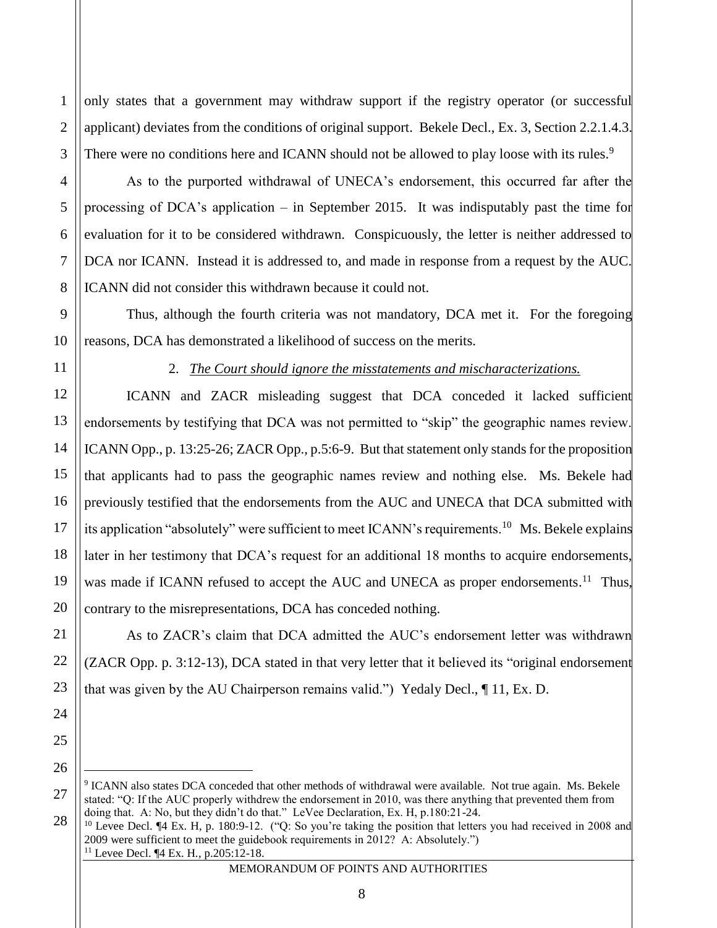only states that a government may withdraw support if the registry operator (or successful applicant) deviates from the conditions of original support. Bekele Decl., Ex. 3, Section 2.2.1.4.3. There were no conditions here and ICANN should not be allowed to play loose with its rules.<sup>9</sup>

As to the purported withdrawal of UNECA's endorsement, this occurred far after the processing of DCA's application – in September 2015. It was indisputably past the time for evaluation for it to be considered withdrawn. Conspicuously, the letter is neither addressed to DCA nor ICANN. Instead it is addressed to, and made in response from a request by the AUC. ICANN did not consider this withdrawn because it could not.

Thus, although the fourth criteria was not mandatory, DCA met it. For the foregoing reasons, DCA has demonstrated a likelihood of success on the merits.

1

2

3

4

5

6

7

8

9

10

11

12

13

14

15

16

17

18

19

20

21

22

23

24

25

26

 $\overline{a}$ 

2. *The Court should ignore the misstatements and mischaracterizations.*

ICANN and ZACR misleading suggest that DCA conceded it lacked sufficient endorsements by testifying that DCA was not permitted to "skip" the geographic names review. ICANN Opp., p. 13:25-26; ZACR Opp., p.5:6-9. But that statement only stands for the proposition that applicants had to pass the geographic names review and nothing else. Ms. Bekele had previously testified that the endorsements from the AUC and UNECA that DCA submitted with its application "absolutely" were sufficient to meet ICANN's requirements.<sup>10</sup> Ms. Bekele explains later in her testimony that DCA's request for an additional 18 months to acquire endorsements, was made if ICANN refused to accept the AUC and UNECA as proper endorsements.<sup>11</sup> Thus, contrary to the misrepresentations, DCA has conceded nothing.

As to ZACR's claim that DCA admitted the AUC's endorsement letter was withdrawn (ZACR Opp. p. 3:12-13), DCA stated in that very letter that it believed its "original endorsement that was given by the AU Chairperson remains valid.") Yedaly Decl., ¶ 11, Ex. D.

<sup>27</sup> 28 <sup>9</sup> ICANN also states DCA conceded that other methods of withdrawal were available. Not true again. Ms. Bekele stated: "Q: If the AUC properly withdrew the endorsement in 2010, was there anything that prevented them from doing that. A: No, but they didn't do that." LeVee Declaration, Ex. H, p.180:21-24.

<sup>&</sup>lt;sup>10</sup> Levee Decl. ¶4 Ex. H, p. 180:9-12. ("Q: So you're taking the position that letters you had received in 2008 and 2009 were sufficient to meet the guidebook requirements in 2012? A: Absolutely.") <sup>11</sup> Levee Decl. ¶4 Ex. H*.*, p.205:12-18.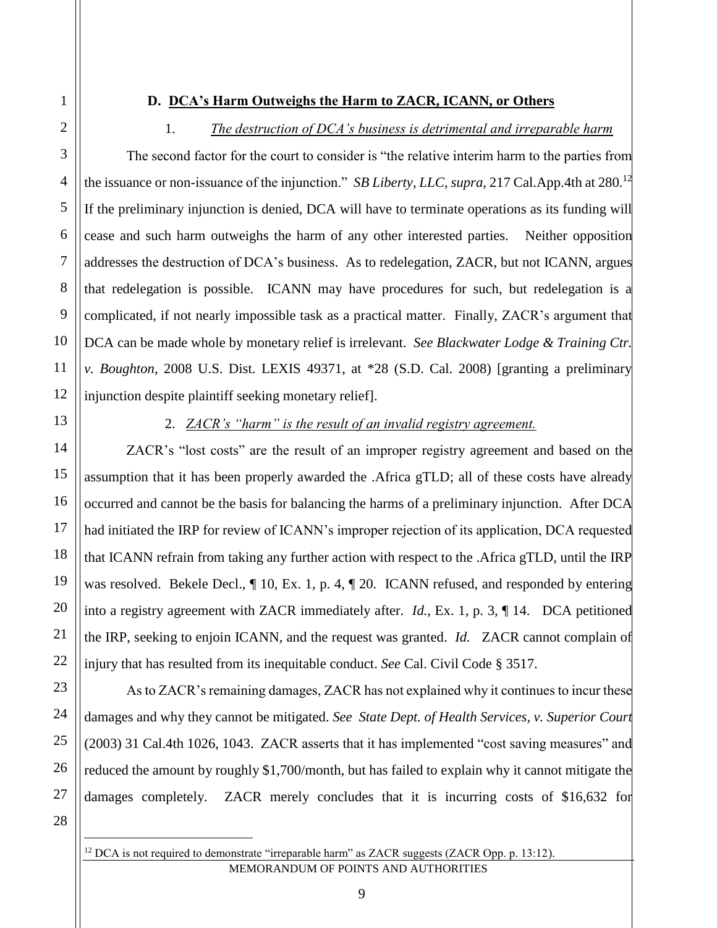#### **D. DCA's Harm Outweighs the Harm to ZACR, ICANN, or Others**

### 1. *The destruction of DCA's business is detrimental and irreparable harm*

The second factor for the court to consider is "the relative interim harm to the parties from the issuance or non-issuance of the injunction." *SB Liberty, LLC, supra*, 217 Cal.App.4th at 280.<sup>12</sup> If the preliminary injunction is denied, DCA will have to terminate operations as its funding will cease and such harm outweighs the harm of any other interested parties. Neither opposition addresses the destruction of DCA's business. As to redelegation, ZACR, but not ICANN, argues that redelegation is possible. ICANN may have procedures for such, but redelegation is a complicated, if not nearly impossible task as a practical matter. Finally, ZACR's argument that DCA can be made whole by monetary relief is irrelevant. *See Blackwater Lodge & Training Ctr. v. Boughton*, 2008 U.S. Dist. LEXIS 49371, at \*28 (S.D. Cal. 2008) [granting a preliminary injunction despite plaintiff seeking monetary relief].

1

2

3

4

5

6

7

8

9

10

11

12

13

14

15

16

17

18

19

20

21

## 2. *ZACR's "harm" is the result of an invalid registry agreement.*

ZACR's "lost costs" are the result of an improper registry agreement and based on the assumption that it has been properly awarded the .Africa gTLD; all of these costs have already occurred and cannot be the basis for balancing the harms of a preliminary injunction. After DCA had initiated the IRP for review of ICANN's improper rejection of its application, DCA requested that ICANN refrain from taking any further action with respect to the .Africa gTLD, until the IRP was resolved. Bekele Decl., ¶ 10, Ex. 1, p. 4, ¶ 20. ICANN refused, and responded by entering into a registry agreement with ZACR immediately after. *Id.*, Ex. 1, p. 3, ¶ 14. DCA petitioned the IRP, seeking to enjoin ICANN, and the request was granted. *Id.* ZACR cannot complain of injury that has resulted from its inequitable conduct. *See* Cal. Civil Code § 3517.

As to ZACR's remaining damages, ZACR has not explained why it continues to incur these damages and why they cannot be mitigated. *See State Dept. of Health Services, v. Superior Court* (2003) 31 Cal.4th 1026, 1043. ZACR asserts that it has implemented "cost saving measures" and reduced the amount by roughly \$1,700/month, but has failed to explain why it cannot mitigate the damages completely. ZACR merely concludes that it is incurring costs of \$16,632 for

28

 $\overline{a}$ 

27

MEMORANDUM OF POINTS AND AUTHORITIES <sup>12</sup> DCA is not required to demonstrate "irreparable harm" as ZACR suggests (ZACR Opp. p. 13:12).